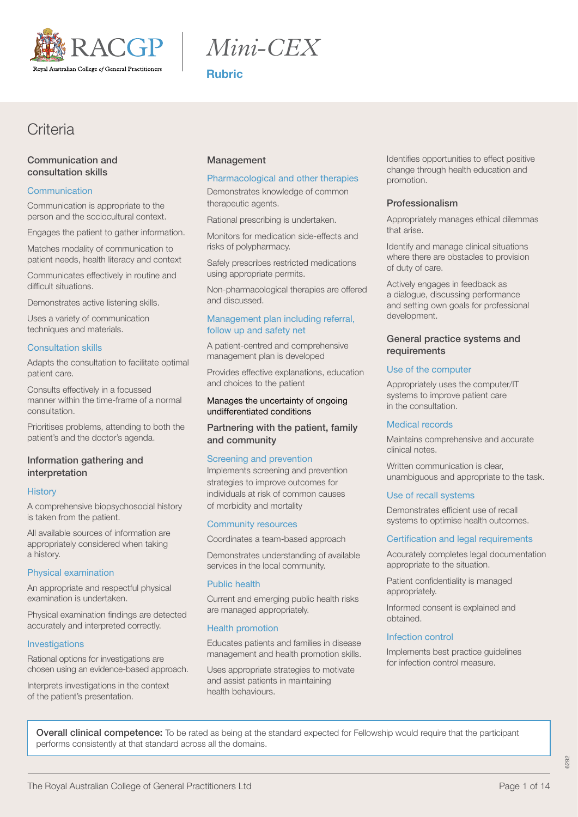

*Mini-CEX*

Rubric

## **Criteria**

## Communication and consultation skills

## **Communication**

Communication is appropriate to the person and the sociocultural context.

Engages the patient to gather information.

Matches modality of communication to patient needs, health literacy and context

Communicates effectively in routine and difficult situations.

Demonstrates active listening skills.

Uses a variety of communication techniques and materials.

## Consultation skills

Adapts the consultation to facilitate optimal patient care.

Consults effectively in a focussed manner within the time-frame of a normal consultation.

Prioritises problems, attending to both the patient's and the doctor's agenda.

## Information gathering and interpretation

## **History**

A comprehensive biopsychosocial history is taken from the patient.

All available sources of information are appropriately considered when taking a history.

## Physical examination

An appropriate and respectful physical examination is undertaken.

Physical examination findings are detected accurately and interpreted correctly.

## **Investigations**

Rational options for investigations are chosen using an evidence-based approach.

Interprets investigations in the context of the patient's presentation.

## Management

## Pharmacological and other therapies

Demonstrates knowledge of common therapeutic agents.

Rational prescribing is undertaken.

Monitors for medication side-effects and risks of polypharmacy.

Safely prescribes restricted medications using appropriate permits.

Non-pharmacological therapies are offered and discussed.

## Management plan including referral, follow up and safety net

A patient-centred and comprehensive management plan is developed

Provides effective explanations, education and choices to the patient

## Manages the uncertainty of ongoing undifferentiated conditions

Partnering with the patient, family and community

## Screening and prevention

Implements screening and prevention strategies to improve outcomes for individuals at risk of common causes of morbidity and mortality

## Community resources

Coordinates a team-based approach

Demonstrates understanding of available services in the local community.

## Public health

Current and emerging public health risks are managed appropriately.

## Health promotion

Educates patients and families in disease management and health promotion skills.

Uses appropriate strategies to motivate and assist patients in maintaining health behaviours.

Identifies opportunities to effect positive change through health education and promotion.

## Professionalism

Appropriately manages ethical dilemmas that arise.

Identify and manage clinical situations where there are obstacles to provision of duty of care.

Actively engages in feedback as a dialogue, discussing performance and setting own goals for professional development.

## General practice systems and requirements

## Use of the computer

Appropriately uses the computer/IT systems to improve patient care in the consultation.

#### Medical records

Maintains comprehensive and accurate clinical notes.

Written communication is clear, unambiguous and appropriate to the task.

#### Use of recall systems

Demonstrates efficient use of recall systems to optimise health outcomes.

## Certification and legal requirements

Accurately completes legal documentation appropriate to the situation.

Patient confidentiality is managed appropriately.

Informed consent is explained and obtained.

## Infection control

Implements best practice guidelines for infection control measure.

Overall clinical competence: To be rated as being at the standard expected for Fellowship would require that the participant performs consistently at that standard across all the domains.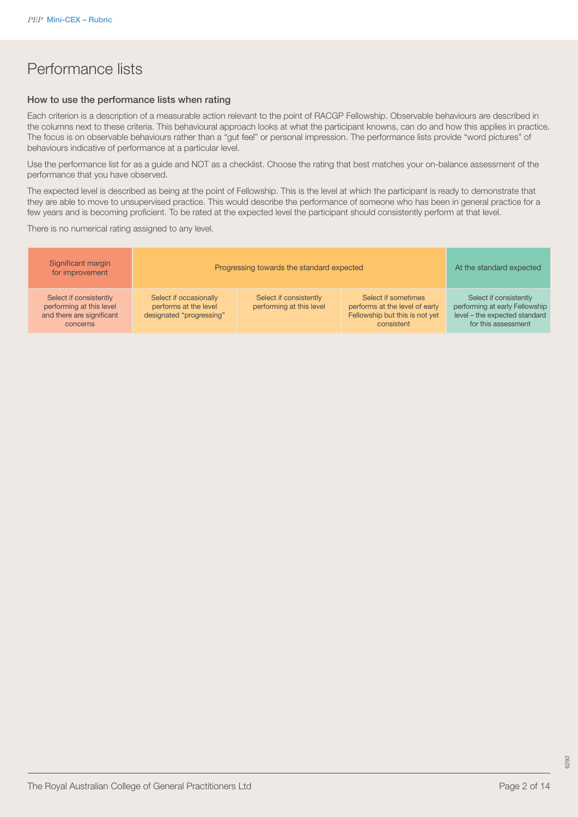## Performance lists

### How to use the performance lists when rating

Each criterion is a description of a measurable action relevant to the point of RACGP Fellowship. Observable behaviours are described in the columns next to these criteria. This behavioural approach looks at what the participant knowns, can do and how this applies in practice. The focus is on observable behaviours rather than a "gut feel" or personal impression. The performance lists provide "word pictures" of behaviours indicative of performance at a particular level.

Use the performance list for as a guide and NOT as a checklist. Choose the rating that best matches your on-balance assessment of the performance that you have observed.

The expected level is described as being at the point of Fellowship. This is the level at which the participant is ready to demonstrate that they are able to move to unsupervised practice. This would describe the performance of someone who has been in general practice for a few years and is becoming proficient. To be rated at the expected level the participant should consistently perform at that level.

There is no numerical rating assigned to any level.

| Significant margin<br>for improvement                                                       | Progressing towards the standard expected                                   |                                                    |                                                                                                       | At the standard expected                                                                                         |
|---------------------------------------------------------------------------------------------|-----------------------------------------------------------------------------|----------------------------------------------------|-------------------------------------------------------------------------------------------------------|------------------------------------------------------------------------------------------------------------------|
| Select if consistently<br>performing at this level<br>and there are significant<br>concerns | Select if occasionally<br>performs at the level<br>designated "progressing" | Select if consistently<br>performing at this level | Select if sometimes<br>performs at the level of early<br>Fellowship but this is not yet<br>consistent | Select if consistently<br>performing at early Fellowship<br>level - the expected standard<br>for this assessment |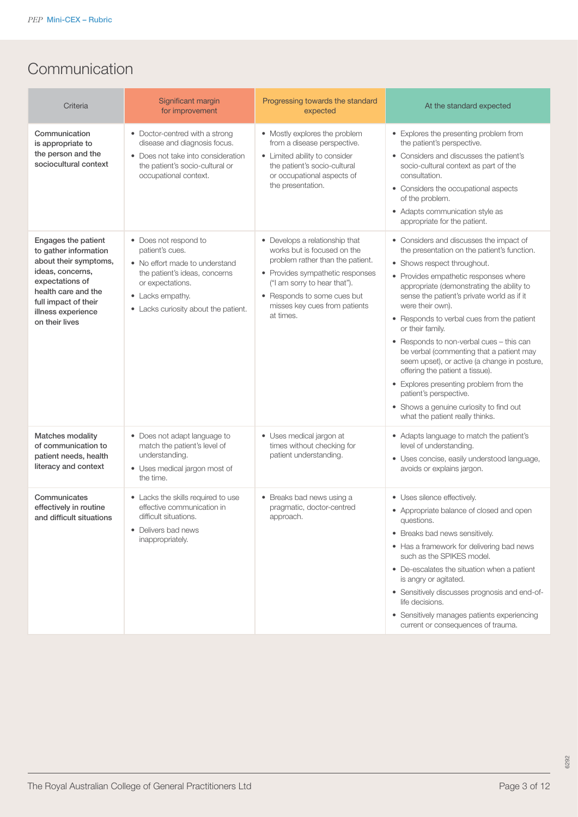# **Communication**

| Criteria                                                                                                                                                                                            | Significant margin<br>for improvement                                                                                                                                                       | Progressing towards the standard<br>expected                                                                                                                                                                                                       | At the standard expected                                                                                                                                                                                                                                                                                                                                                                                                                                                                                                                                                                                                                                                     |
|-----------------------------------------------------------------------------------------------------------------------------------------------------------------------------------------------------|---------------------------------------------------------------------------------------------------------------------------------------------------------------------------------------------|----------------------------------------------------------------------------------------------------------------------------------------------------------------------------------------------------------------------------------------------------|------------------------------------------------------------------------------------------------------------------------------------------------------------------------------------------------------------------------------------------------------------------------------------------------------------------------------------------------------------------------------------------------------------------------------------------------------------------------------------------------------------------------------------------------------------------------------------------------------------------------------------------------------------------------------|
| Communication<br>is appropriate to<br>the person and the<br>sociocultural context                                                                                                                   | • Doctor-centred with a strong<br>disease and diagnosis focus.<br>• Does not take into consideration<br>the patient's socio-cultural or<br>occupational context.                            | • Mostly explores the problem<br>from a disease perspective.<br>• Limited ability to consider<br>the patient's socio-cultural<br>or occupational aspects of<br>the presentation.                                                                   | • Explores the presenting problem from<br>the patient's perspective.<br>• Considers and discusses the patient's<br>socio-cultural context as part of the<br>consultation.<br>• Considers the occupational aspects<br>of the problem.<br>• Adapts communication style as<br>appropriate for the patient.                                                                                                                                                                                                                                                                                                                                                                      |
| Engages the patient<br>to gather information<br>about their symptoms,<br>ideas, concerns,<br>expectations of<br>health care and the<br>full impact of their<br>illness experience<br>on their lives | • Does not respond to<br>patient's cues.<br>• No effort made to understand<br>the patient's ideas, concerns<br>or expectations.<br>• Lacks empathy.<br>• Lacks curiosity about the patient. | • Develops a relationship that<br>works but is focused on the<br>problem rather than the patient.<br>• Provides sympathetic responses<br>("I am sorry to hear that").<br>• Responds to some cues but<br>misses key cues from patients<br>at times. | • Considers and discusses the impact of<br>the presentation on the patient's function.<br>• Shows respect throughout.<br>• Provides empathetic responses where<br>appropriate (demonstrating the ability to<br>sense the patient's private world as if it<br>were their own).<br>• Responds to verbal cues from the patient<br>or their family.<br>• Responds to non-verbal cues - this can<br>be verbal (commenting that a patient may<br>seem upset), or active (a change in posture,<br>offering the patient a tissue).<br>• Explores presenting problem from the<br>patient's perspective.<br>• Shows a genuine curiosity to find out<br>what the patient really thinks. |
| Matches modality<br>of communication to<br>patient needs, health<br>literacy and context                                                                                                            | • Does not adapt language to<br>match the patient's level of<br>understanding.<br>• Uses medical jargon most of<br>the time.                                                                | • Uses medical jargon at<br>times without checking for<br>patient understanding.                                                                                                                                                                   | • Adapts language to match the patient's<br>level of understanding.<br>· Uses concise, easily understood language,<br>avoids or explains jargon.                                                                                                                                                                                                                                                                                                                                                                                                                                                                                                                             |
| Communicates<br>effectively in routine<br>and difficult situations                                                                                                                                  | • Lacks the skills required to use<br>effective communication in<br>difficult situations.<br>• Delivers bad news<br>inappropriately.                                                        | • Breaks bad news using a<br>pragmatic, doctor-centred<br>approach.                                                                                                                                                                                | • Uses silence effectively.<br>• Appropriate balance of closed and open<br>questions.<br>• Breaks bad news sensitively.<br>• Has a framework for delivering bad news<br>such as the SPIKES model.<br>• De-escalates the situation when a patient<br>is angry or agitated.<br>• Sensitively discusses prognosis and end-of-<br>life decisions.<br>• Sensitively manages patients experiencing<br>current or consequences of trauma.                                                                                                                                                                                                                                           |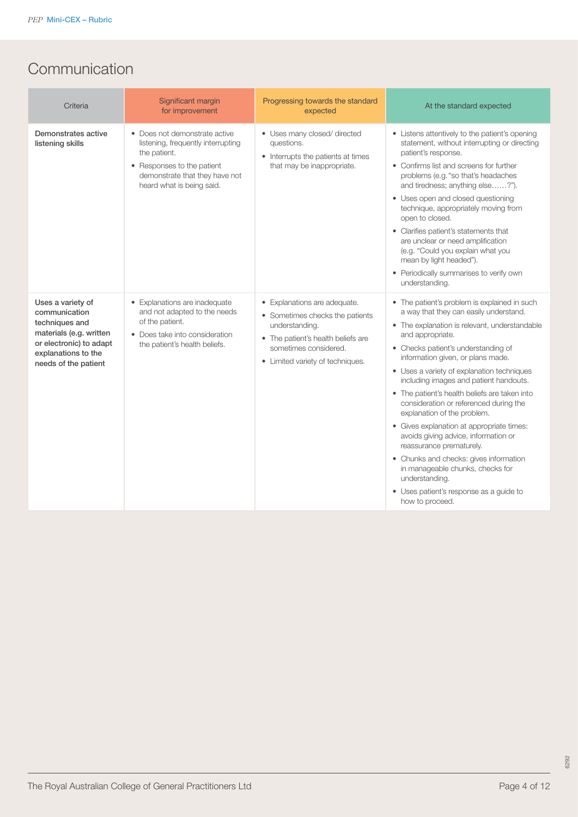# **Communication**

| Criteria                                                                                                                                                  | Significant margin<br>for improvement                                                                                                                                            | Progressing towards the standard<br>expected                                                                                                                                         | At the standard expected                                                                                                                                                                                                                                                                                                                                                                                                                                                                                                                                                                                                                                                                                                                 |
|-----------------------------------------------------------------------------------------------------------------------------------------------------------|----------------------------------------------------------------------------------------------------------------------------------------------------------------------------------|--------------------------------------------------------------------------------------------------------------------------------------------------------------------------------------|------------------------------------------------------------------------------------------------------------------------------------------------------------------------------------------------------------------------------------------------------------------------------------------------------------------------------------------------------------------------------------------------------------------------------------------------------------------------------------------------------------------------------------------------------------------------------------------------------------------------------------------------------------------------------------------------------------------------------------------|
| Demonstrates active<br>listening skills                                                                                                                   | • Does not demonstrate active<br>listening, frequently interrupting<br>the patient.<br>• Responses to the patient<br>demonstrate that they have not<br>heard what is being said. | • Uses many closed/ directed<br>questions.<br>• Interrupts the patients at times<br>that may be inappropriate.                                                                       | • Listens attentively to the patient's opening<br>statement, without interrupting or directing<br>patient's response.<br>• Confirms list and screens for further<br>problems (e.g. "so that's headaches<br>and tiredness; anything else?").<br>• Uses open and closed questioning<br>technique, appropriately moving from<br>open to closed.<br>• Clarifies patient's statements that<br>are unclear or need amplification<br>(e.g. "Could you explain what you<br>mean by light headed").<br>• Periodically summarises to verify own<br>understanding.                                                                                                                                                                                  |
| Uses a variety of<br>communication<br>techniques and<br>materials (e.g. written<br>or electronic) to adapt<br>explanations to the<br>needs of the patient | • Explanations are inadequate<br>and not adapted to the needs<br>of the patient.<br>• Does take into consideration<br>the patient's health beliefs.                              | • Explanations are adequate.<br>• Sometimes checks the patients<br>understanding.<br>• The patient's health beliefs are<br>sometimes considered.<br>• Limited variety of techniques. | • The patient's problem is explained in such<br>a way that they can easily understand.<br>• The explanation is relevant, understandable<br>and appropriate.<br>• Checks patient's understanding of<br>information given, or plans made.<br>• Uses a variety of explanation techniques<br>including images and patient handouts.<br>• The patient's health beliefs are taken into<br>consideration or referenced during the<br>explanation of the problem.<br>• Gives explanation at appropriate times:<br>avoids giving advice, information or<br>reassurance prematurely.<br>• Chunks and checks: gives information<br>in manageable chunks, checks for<br>understanding.<br>• Uses patient's response as a guide to<br>how to proceed. |

6292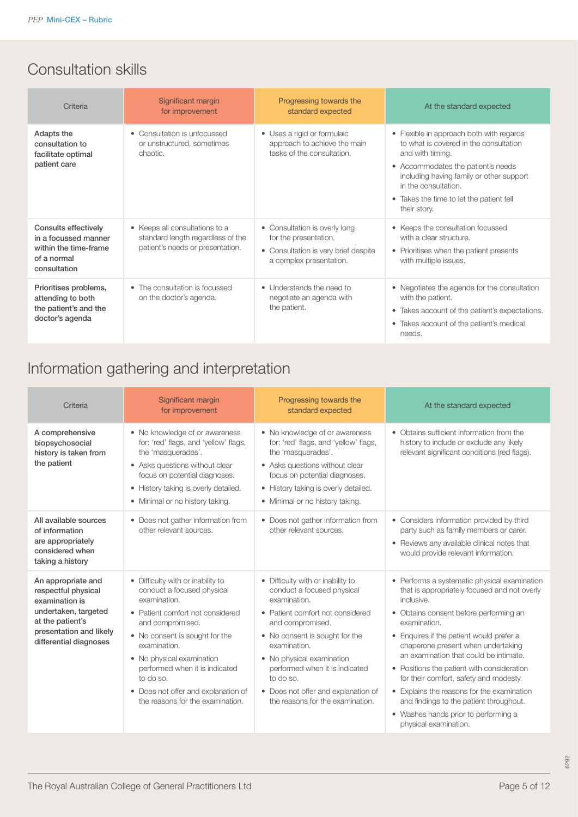# Consultation skills

| Criteria                                                                                             | Significant margin<br>for improvement                                                                   | Progressing towards the<br>standard expected                                                                              | At the standard expected                                                                                                                                                                                                                                                     |
|------------------------------------------------------------------------------------------------------|---------------------------------------------------------------------------------------------------------|---------------------------------------------------------------------------------------------------------------------------|------------------------------------------------------------------------------------------------------------------------------------------------------------------------------------------------------------------------------------------------------------------------------|
| Adapts the<br>consultation to<br>facilitate optimal<br>patient care                                  | • Consultation is unfocussed<br>or unstructured, sometimes<br>chaotic.                                  | • Uses a rigid or formulaic<br>approach to achieve the main<br>tasks of the consultation.                                 | • Flexible in approach both with regards<br>to what is covered in the consultation<br>and with timing.<br>• Accommodates the patient's needs<br>including having family or other support<br>in the consultation.<br>• Takes the time to let the patient tell<br>their story. |
| Consults effectively<br>in a focussed manner<br>within the time-frame<br>of a normal<br>consultation | • Keeps all consultations to a<br>standard length regardless of the<br>patient's needs or presentation. | • Consultation is overly long<br>for the presentation.<br>• Consultation is very brief despite<br>a complex presentation. | • Keeps the consultation focussed<br>with a clear structure.<br>• Prioritises when the patient presents<br>with multiple issues.                                                                                                                                             |
| Prioritises problems,<br>attending to both<br>the patient's and the<br>doctor's agenda               | • The consultation is focussed<br>on the doctor's agenda.                                               | • Understands the need to<br>negotiate an agenda with<br>the patient.                                                     | • Negotiates the agenda for the consultation<br>with the patient.<br>• Takes account of the patient's expectations.<br>• Takes account of the patient's medical<br>needs.                                                                                                    |

# Information gathering and interpretation

| Criteria                                                                                                                                                     | Significant margin<br>for improvement                                                                                                                                                                                                                                                                                                            | Progressing towards the<br>standard expected                                                                                                                                                                                                                                                                                                     | At the standard expected                                                                                                                                                                                                                                                                                                                                                                                                                                                                                                                           |
|--------------------------------------------------------------------------------------------------------------------------------------------------------------|--------------------------------------------------------------------------------------------------------------------------------------------------------------------------------------------------------------------------------------------------------------------------------------------------------------------------------------------------|--------------------------------------------------------------------------------------------------------------------------------------------------------------------------------------------------------------------------------------------------------------------------------------------------------------------------------------------------|----------------------------------------------------------------------------------------------------------------------------------------------------------------------------------------------------------------------------------------------------------------------------------------------------------------------------------------------------------------------------------------------------------------------------------------------------------------------------------------------------------------------------------------------------|
| A comprehensive<br>biopsychosocial<br>history is taken from<br>the patient                                                                                   | • No knowledge of or awareness<br>for: 'red' flags, and 'yellow' flags,<br>the 'masquerades'.<br>• Asks questions without clear<br>focus on potential diagnoses.<br>• History taking is overly detailed.<br>• Minimal or no history taking.                                                                                                      | • No knowledge of or awareness<br>for: 'red' flags, and 'yellow' flags,<br>the 'masquerades'.<br>• Asks questions without clear<br>focus on potential diagnoses.<br>• History taking is overly detailed.<br>• Minimal or no history taking.                                                                                                      | • Obtains sufficient information from the<br>history to include or exclude any likely<br>relevant significant conditions (red flags).                                                                                                                                                                                                                                                                                                                                                                                                              |
| All available sources<br>of information<br>are appropriately<br>considered when<br>taking a history                                                          | • Does not gather information from<br>other relevant sources.                                                                                                                                                                                                                                                                                    | • Does not gather information from<br>other relevant sources.                                                                                                                                                                                                                                                                                    | • Considers information provided by third<br>party such as family members or carer.<br>• Reviews any available clinical notes that<br>would provide relevant information.                                                                                                                                                                                                                                                                                                                                                                          |
| An appropriate and<br>respectful physical<br>examination is<br>undertaken, targeted<br>at the patient's<br>presentation and likely<br>differential diagnoses | • Difficulty with or inability to<br>conduct a focused physical<br>examination.<br>• Patient comfort not considered<br>and compromised.<br>• No consent is sought for the<br>examination.<br>• No physical examination<br>performed when it is indicated<br>to do so.<br>• Does not offer and explanation of<br>the reasons for the examination. | • Difficulty with or inability to<br>conduct a focused physical<br>examination.<br>• Patient comfort not considered<br>and compromised.<br>• No consent is sought for the<br>examination.<br>• No physical examination<br>performed when it is indicated<br>to do so.<br>• Does not offer and explanation of<br>the reasons for the examination. | • Performs a systematic physical examination<br>that is appropriately focused and not overly<br>inclusive.<br>• Obtains consent before performing an<br>examination.<br>• Enquires if the patient would prefer a<br>chaperone present when undertaking<br>an examination that could be intimate.<br>• Positions the patient with consideration<br>for their comfort, safety and modesty.<br>• Explains the reasons for the examination<br>and findings to the patient throughout.<br>• Washes hands prior to performing a<br>physical examination. |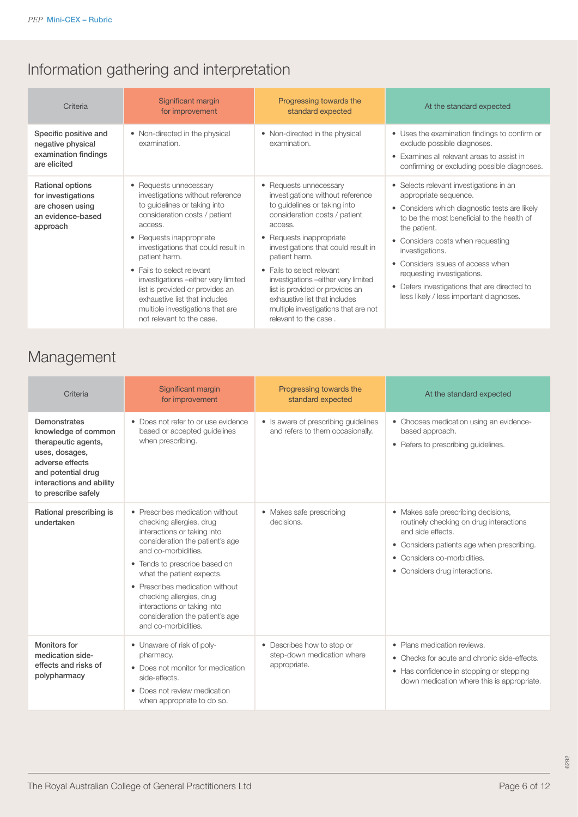# Information gathering and interpretation

| Criteria                                                                                    | Significant margin<br>for improvement                                                                                                                                                                                                                                                                                                                                                                    | Progressing towards the<br>standard expected                                                                                                                                                                                                                                                                                                                                                                 | At the standard expected                                                                                                                                                                                                                                                                                                                                                                                         |
|---------------------------------------------------------------------------------------------|----------------------------------------------------------------------------------------------------------------------------------------------------------------------------------------------------------------------------------------------------------------------------------------------------------------------------------------------------------------------------------------------------------|--------------------------------------------------------------------------------------------------------------------------------------------------------------------------------------------------------------------------------------------------------------------------------------------------------------------------------------------------------------------------------------------------------------|------------------------------------------------------------------------------------------------------------------------------------------------------------------------------------------------------------------------------------------------------------------------------------------------------------------------------------------------------------------------------------------------------------------|
| Specific positive and<br>negative physical<br>examination findings<br>are elicited          | • Non-directed in the physical<br>examination.                                                                                                                                                                                                                                                                                                                                                           | • Non-directed in the physical<br>examination.                                                                                                                                                                                                                                                                                                                                                               | • Uses the examination findings to confirm or<br>exclude possible diagnoses.<br>• Examines all relevant areas to assist in<br>confirming or excluding possible diagnoses.                                                                                                                                                                                                                                        |
| Rational options<br>for investigations<br>are chosen using<br>an evidence-based<br>approach | • Requests unnecessary<br>investigations without reference<br>to guidelines or taking into<br>consideration costs / patient<br>access.<br>• Requests inappropriate<br>investigations that could result in<br>patient harm.<br>• Fails to select relevant<br>investigations - either very limited<br>list is provided or provides an<br>exhaustive list that includes<br>multiple investigations that are | • Requests unnecessary<br>investigations without reference<br>to guidelines or taking into<br>consideration costs / patient<br>access.<br>• Requests inappropriate<br>investigations that could result in<br>patient harm.<br>• Fails to select relevant<br>investigations - either very limited<br>list is provided or provides an<br>exhaustive list that includes<br>multiple investigations that are not | • Selects relevant investigations in an<br>appropriate sequence.<br>• Considers which diagnostic tests are likely<br>to be the most beneficial to the health of<br>the patient.<br>• Considers costs when requesting<br>investigations.<br>Considers issues of access when<br>$\bullet$<br>requesting investigations.<br>• Defers investigations that are directed to<br>less likely / less important diagnoses. |

## Management

| Criteria                                                                                                                                                                 | Significant margin<br>for improvement                                                                                                                                                                                                                                                                                                                                      | Progressing towards the<br>standard expected                             | At the standard expected                                                                                                                                                                                           |
|--------------------------------------------------------------------------------------------------------------------------------------------------------------------------|----------------------------------------------------------------------------------------------------------------------------------------------------------------------------------------------------------------------------------------------------------------------------------------------------------------------------------------------------------------------------|--------------------------------------------------------------------------|--------------------------------------------------------------------------------------------------------------------------------------------------------------------------------------------------------------------|
| Demonstrates<br>knowledge of common<br>therapeutic agents,<br>uses, dosages,<br>adverse effects<br>and potential drug<br>interactions and ability<br>to prescribe safely | • Does not refer to or use evidence<br>based or accepted guidelines<br>when prescribing.                                                                                                                                                                                                                                                                                   | • Is aware of prescribing guidelines<br>and refers to them occasionally. | • Chooses medication using an evidence-<br>based approach.<br>• Refers to prescribing guidelines.                                                                                                                  |
| Rational prescribing is<br>undertaken                                                                                                                                    | • Prescribes medication without<br>checking allergies, drug<br>interactions or taking into<br>consideration the patient's age<br>and co-morbidities.<br>• Tends to prescribe based on<br>what the patient expects.<br>• Prescribes medication without<br>checking allergies, drug<br>interactions or taking into<br>consideration the patient's age<br>and co-morbidities. | • Makes safe prescribing<br>decisions.                                   | • Makes safe prescribing decisions,<br>routinely checking on drug interactions<br>and side effects.<br>• Considers patients age when prescribing.<br>• Considers co-morbidities.<br>• Considers drug interactions. |
| <b>Monitors for</b><br>medication side-<br>effects and risks of<br>polypharmacy                                                                                          | • Unaware of risk of poly-<br>pharmacy.<br>• Does not monitor for medication<br>side-effects.<br>• Does not review medication<br>when appropriate to do so.                                                                                                                                                                                                                | • Describes how to stop or<br>step-down medication where<br>appropriate. | • Plans medication reviews.<br>• Checks for acute and chronic side-effects.<br>• Has confidence in stopping or stepping<br>down medication where this is appropriate.                                              |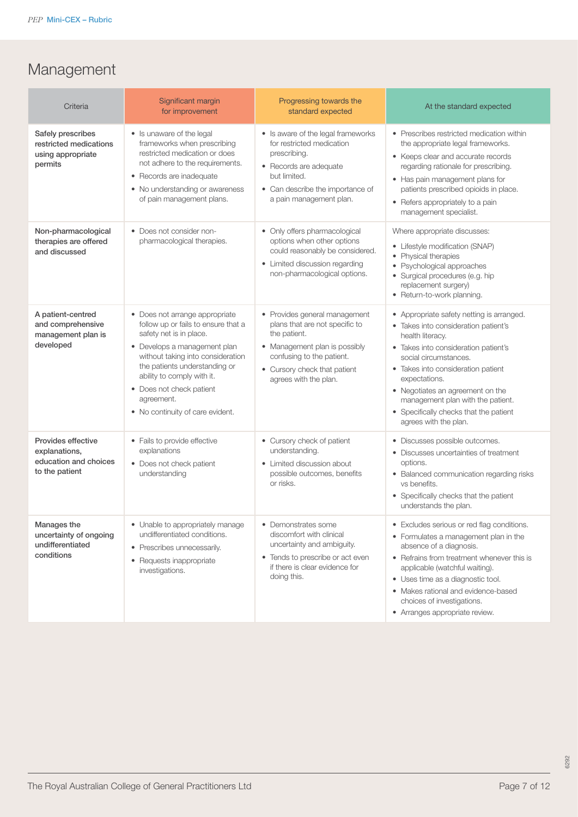# Management

| Criteria                                                                       | Significant margin<br>for improvement                                                                                                                                                                                                                                                                              | Progressing towards the<br>standard expected                                                                                                                                                           | At the standard expected                                                                                                                                                                                                                                                                                                                                                  |
|--------------------------------------------------------------------------------|--------------------------------------------------------------------------------------------------------------------------------------------------------------------------------------------------------------------------------------------------------------------------------------------------------------------|--------------------------------------------------------------------------------------------------------------------------------------------------------------------------------------------------------|---------------------------------------------------------------------------------------------------------------------------------------------------------------------------------------------------------------------------------------------------------------------------------------------------------------------------------------------------------------------------|
| Safely prescribes<br>restricted medications<br>using appropriate<br>permits    | • Is unaware of the legal<br>frameworks when prescribing<br>restricted medication or does<br>not adhere to the requirements.<br>• Records are inadequate<br>• No understanding or awareness<br>of pain management plans.                                                                                           | • Is aware of the legal frameworks<br>for restricted medication<br>prescribing.<br>• Records are adequate<br>but limited.<br>• Can describe the importance of<br>a pain management plan.               | • Prescribes restricted medication within<br>the appropriate legal frameworks.<br>• Keeps clear and accurate records<br>regarding rationale for prescribing.<br>• Has pain management plans for<br>patients prescribed opioids in place.<br>• Refers appropriately to a pain<br>management specialist.                                                                    |
| Non-pharmacological<br>therapies are offered<br>and discussed                  | • Does not consider non-<br>pharmacological therapies.                                                                                                                                                                                                                                                             | • Only offers pharmacological<br>options when other options<br>could reasonably be considered.<br>• Limited discussion regarding<br>non-pharmacological options.                                       | Where appropriate discusses:<br>• Lifestyle modification (SNAP)<br>• Physical therapies<br>• Psychological approaches<br>· Surgical procedures (e.g. hip<br>replacement surgery)<br>• Return-to-work planning.                                                                                                                                                            |
| A patient-centred<br>and comprehensive<br>management plan is<br>developed      | • Does not arrange appropriate<br>follow up or fails to ensure that a<br>safety net is in place.<br>• Develops a management plan<br>without taking into consideration<br>the patients understanding or<br>ability to comply with it.<br>• Does not check patient<br>agreement.<br>• No continuity of care evident. | • Provides general management<br>plans that are not specific to<br>the patient.<br>• Management plan is possibly<br>confusing to the patient.<br>• Cursory check that patient<br>agrees with the plan. | • Appropriate safety netting is arranged.<br>• Takes into consideration patient's<br>health literacy.<br>• Takes into consideration patient's<br>social circumstances.<br>• Takes into consideration patient<br>expectations.<br>• Negotiates an agreement on the<br>management plan with the patient.<br>• Specifically checks that the patient<br>agrees with the plan. |
| Provides effective<br>explanations,<br>education and choices<br>to the patient | • Fails to provide effective<br>explanations<br>• Does not check patient<br>understanding                                                                                                                                                                                                                          | • Cursory check of patient<br>understanding.<br>• Limited discussion about<br>possible outcomes, benefits<br>or risks.                                                                                 | • Discusses possible outcomes.<br>• Discusses uncertainties of treatment<br>options.<br>• Balanced communication regarding risks<br>vs benefits.<br>• Specifically checks that the patient<br>understands the plan.                                                                                                                                                       |
| Manages the<br>uncertainty of ongoing<br>undifferentiated<br>conditions        | • Unable to appropriately manage<br>undifferentiated conditions.<br>• Prescribes unnecessarily.<br>• Requests inappropriate<br>investigations.                                                                                                                                                                     | • Demonstrates some<br>discomfort with clinical<br>uncertainty and ambiguity.<br>• Tends to prescribe or act even<br>if there is clear evidence for<br>doing this.                                     | Excludes serious or red flag conditions.<br>• Formulates a management plan in the<br>absence of a diagnosis.<br>• Refrains from treatment whenever this is<br>applicable (watchful waiting).<br>• Uses time as a diagnostic tool.<br>• Makes rational and evidence-based<br>choices of investigations.<br>• Arranges appropriate review.                                  |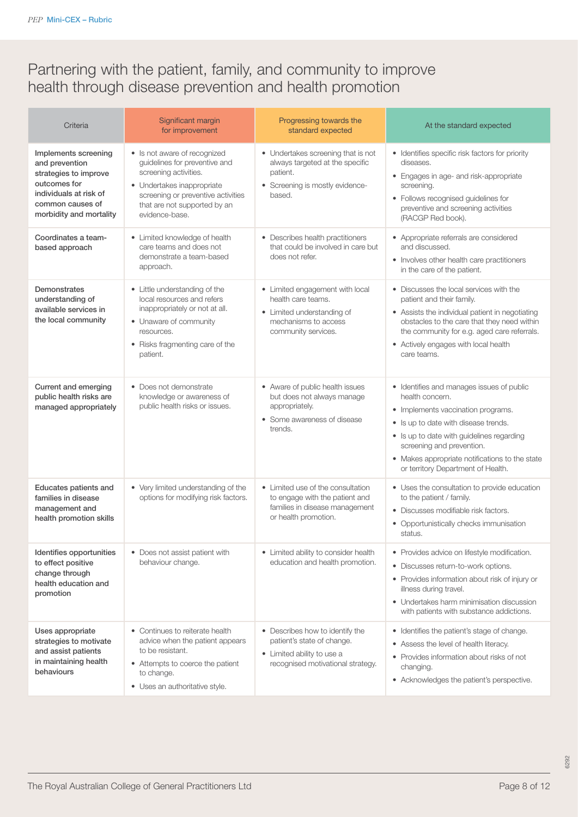## Partnering with the patient, family, and community to improve health through disease prevention and health promotion

| Criteria                                                                                                                                                 | Significant margin<br>for improvement                                                                                                                                                                        | Progressing towards the<br>standard expected                                                                                       | At the standard expected                                                                                                                                                                                                                                                                                     |
|----------------------------------------------------------------------------------------------------------------------------------------------------------|--------------------------------------------------------------------------------------------------------------------------------------------------------------------------------------------------------------|------------------------------------------------------------------------------------------------------------------------------------|--------------------------------------------------------------------------------------------------------------------------------------------------------------------------------------------------------------------------------------------------------------------------------------------------------------|
| Implements screening<br>and prevention<br>strategies to improve<br>outcomes for<br>individuals at risk of<br>common causes of<br>morbidity and mortality | • Is not aware of recognized<br>quidelines for preventive and<br>screening activities.<br>• Undertakes inappropriate<br>screening or preventive activities<br>that are not supported by an<br>evidence-base. | • Undertakes screening that is not<br>always targeted at the specific<br>patient.<br>• Screening is mostly evidence-<br>based.     | • Identifies specific risk factors for priority<br>diseases.<br>• Engages in age- and risk-appropriate<br>screening.<br>• Follows recognised guidelines for<br>preventive and screening activities<br>(RACGP Red book).                                                                                      |
| Coordinates a team-<br>based approach                                                                                                                    | • Limited knowledge of health<br>care teams and does not<br>demonstrate a team-based<br>approach.                                                                                                            | • Describes health practitioners<br>that could be involved in care but<br>does not refer.                                          | • Appropriate referrals are considered<br>and discussed.<br>• Involves other health care practitioners<br>in the care of the patient.                                                                                                                                                                        |
| <b>Demonstrates</b><br>understanding of<br>available services in<br>the local community                                                                  | • Little understanding of the<br>local resources and refers<br>inappropriately or not at all.<br>• Unaware of community<br>resources.<br>• Risks fragmenting care of the<br>patient.                         | • Limited engagement with local<br>health care teams.<br>• Limited understanding of<br>mechanisms to access<br>community services. | • Discusses the local services with the<br>patient and their family.<br>• Assists the individual patient in negotiating<br>obstacles to the care that they need within<br>the community for e.g. aged care referrals.<br>• Actively engages with local health<br>care teams.                                 |
| Current and emerging<br>public health risks are<br>managed appropriately                                                                                 | • Does not demonstrate<br>knowledge or awareness of<br>public health risks or issues.                                                                                                                        | • Aware of public health issues<br>but does not always manage<br>appropriately.<br>• Some awareness of disease<br>trends.          | • Identifies and manages issues of public<br>health concern.<br>• Implements vaccination programs.<br>• Is up to date with disease trends.<br>• Is up to date with guidelines regarding<br>screening and prevention.<br>• Makes appropriate notifications to the state<br>or territory Department of Health. |
| Educates patients and<br>families in disease<br>management and<br>health promotion skills                                                                | • Very limited understanding of the<br>options for modifying risk factors.                                                                                                                                   | • Limited use of the consultation<br>to engage with the patient and<br>families in disease management<br>or health promotion.      | • Uses the consultation to provide education<br>to the patient / family.<br>· Discusses modifiable risk factors.<br>• Opportunistically checks immunisation<br>status.                                                                                                                                       |
| Identifies opportunities<br>to effect positive<br>change through<br>health education and<br>promotion                                                    | • Does not assist patient with<br>behaviour change.                                                                                                                                                          | • Limited ability to consider health<br>education and health promotion.                                                            | • Provides advice on lifestyle modification.<br>• Discusses return-to-work options.<br>• Provides information about risk of injury or<br>illness during travel.<br>• Undertakes harm minimisation discussion<br>with patients with substance addictions.                                                     |
| Uses appropriate<br>strategies to motivate<br>and assist patients<br>in maintaining health<br>behaviours                                                 | • Continues to reiterate health<br>advice when the patient appears<br>to be resistant.<br>• Attempts to coerce the patient<br>to change.<br>• Uses an authoritative style.                                   | • Describes how to identify the<br>patient's state of change.<br>• Limited ability to use a<br>recognised motivational strategy.   | • Identifies the patient's stage of change.<br>• Assess the level of health literacy.<br>• Provides information about risks of not<br>changing.<br>• Acknowledges the patient's perspective.                                                                                                                 |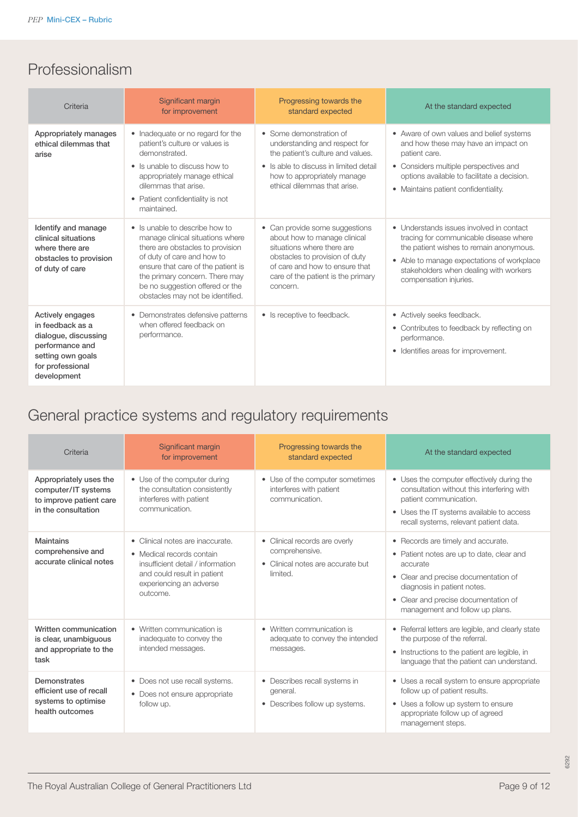## Professionalism

| Criteria                                                                                                                                | Significant margin<br>for improvement                                                                                                                                                                                                                                               | Progressing towards the<br>standard expected                                                                                                                                                                       | At the standard expected                                                                                                                                                                                                                        |
|-----------------------------------------------------------------------------------------------------------------------------------------|-------------------------------------------------------------------------------------------------------------------------------------------------------------------------------------------------------------------------------------------------------------------------------------|--------------------------------------------------------------------------------------------------------------------------------------------------------------------------------------------------------------------|-------------------------------------------------------------------------------------------------------------------------------------------------------------------------------------------------------------------------------------------------|
| Appropriately manages<br>ethical dilemmas that<br>arise                                                                                 | • Inadequate or no regard for the<br>patient's culture or values is<br>demonstrated.<br>• Is unable to discuss how to<br>appropriately manage ethical<br>dilemmas that arise.<br>• Patient confidentiality is not<br>maintained.                                                    | • Some demonstration of<br>understanding and respect for<br>the patient's culture and values.<br>• Is able to discuss in limited detail<br>how to appropriately manage<br>ethical dilemmas that arise.             | • Aware of own values and belief systems<br>and how these may have an impact on<br>patient care.<br>• Considers multiple perspectives and<br>options available to facilitate a decision.<br>• Maintains patient confidentiality.                |
| Identify and manage<br>clinical situations<br>where there are<br>obstacles to provision<br>of duty of care                              | • Is unable to describe how to<br>manage clinical situations where<br>there are obstacles to provision<br>of duty of care and how to<br>ensure that care of the patient is<br>the primary concern. There may<br>be no suggestion offered or the<br>obstacles may not be identified. | • Can provide some suggestions<br>about how to manage clinical<br>situations where there are<br>obstacles to provision of duty<br>of care and how to ensure that<br>care of the patient is the primary<br>concern. | • Understands issues involved in contact<br>tracing for communicable disease where<br>the patient wishes to remain anonymous.<br>• Able to manage expectations of workplace<br>stakeholders when dealing with workers<br>compensation injuries. |
| Actively engages<br>in feedback as a<br>dialogue, discussing<br>performance and<br>setting own goals<br>for professional<br>development | • Demonstrates defensive patterns<br>when offered feedback on<br>performance.                                                                                                                                                                                                       | • Is receptive to feedback.                                                                                                                                                                                        | • Actively seeks feedback.<br>• Contributes to feedback by reflecting on<br>performance.<br>• Identifies areas for improvement.                                                                                                                 |

# General practice systems and regulatory requirements

| Criteria                                                                                        | Significant margin<br>for improvement                                                                                                                                    | Progressing towards the<br>standard expected                                                     | At the standard expected                                                                                                                                                                                                                      |
|-------------------------------------------------------------------------------------------------|--------------------------------------------------------------------------------------------------------------------------------------------------------------------------|--------------------------------------------------------------------------------------------------|-----------------------------------------------------------------------------------------------------------------------------------------------------------------------------------------------------------------------------------------------|
| Appropriately uses the<br>computer/IT systems<br>to improve patient care<br>in the consultation | • Use of the computer during<br>the consultation consistently<br>interferes with patient<br>communication.                                                               | • Use of the computer sometimes<br>interferes with patient<br>communication.                     | • Uses the computer effectively during the<br>consultation without this interfering with<br>patient communication.<br>• Uses the IT systems available to access<br>recall systems, relevant patient data.                                     |
| Maintains<br>comprehensive and<br>accurate clinical notes                                       | • Clinical notes are inaccurate.<br>• Medical records contain<br>insufficient detail / information<br>and could result in patient<br>experiencing an adverse<br>outcome. | • Clinical records are overly<br>comprehensive.<br>• Clinical notes are accurate but<br>limited. | • Records are timely and accurate.<br>• Patient notes are up to date, clear and<br>accurate<br>• Clear and precise documentation of<br>diagnosis in patient notes.<br>• Clear and precise documentation of<br>management and follow up plans. |
| Written communication<br>is clear, unambiguous<br>and appropriate to the<br>task                | • Written communication is<br>inadequate to convey the<br>intended messages.                                                                                             | • Written communication is<br>adequate to convey the intended<br>messages.                       | • Referral letters are legible, and clearly state<br>the purpose of the referral.<br>• Instructions to the patient are legible, in<br>language that the patient can understand.                                                               |
| Demonstrates<br>efficient use of recall<br>systems to optimise<br>health outcomes               | • Does not use recall systems.<br>• Does not ensure appropriate<br>follow up.                                                                                            | • Describes recall systems in<br>general.<br>Describes follow up systems.<br>$\bullet$           | • Uses a recall system to ensure appropriate<br>follow up of patient results.<br>• Uses a follow up system to ensure<br>appropriate follow up of agreed<br>management steps.                                                                  |